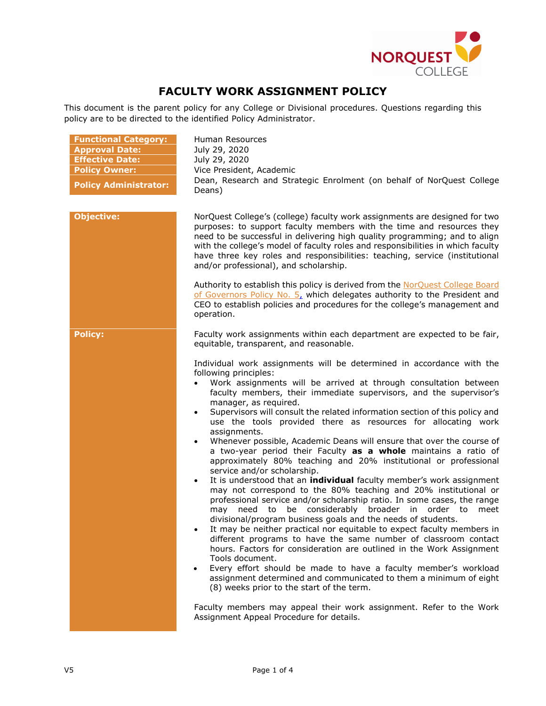

## **FACULTY WORK ASSIGNMENT POLICY**

This document is the parent policy for any College or Divisional procedures. Questions regarding this policy are to be directed to the identified Policy Administrator.

| <b>Functional Category:</b><br><b>Approval Date:</b><br><b>Effective Date:</b><br><b>Policy Owner:</b><br><b>Policy Administrator:</b> | Human Resources<br>July 29, 2020<br>July 29, 2020<br>Vice President, Academic<br>Dean, Research and Strategic Enrolment (on behalf of NorQuest College<br>Deans)                                                                                                                                                                                                                                                                                                                                                                                                                                                                                                                                                                                                                                                                                                                                                                                                                                                                                                                                                                                                                                                                                                                                                                                                                                                                                                                                                                                                             |  |  |  |
|----------------------------------------------------------------------------------------------------------------------------------------|------------------------------------------------------------------------------------------------------------------------------------------------------------------------------------------------------------------------------------------------------------------------------------------------------------------------------------------------------------------------------------------------------------------------------------------------------------------------------------------------------------------------------------------------------------------------------------------------------------------------------------------------------------------------------------------------------------------------------------------------------------------------------------------------------------------------------------------------------------------------------------------------------------------------------------------------------------------------------------------------------------------------------------------------------------------------------------------------------------------------------------------------------------------------------------------------------------------------------------------------------------------------------------------------------------------------------------------------------------------------------------------------------------------------------------------------------------------------------------------------------------------------------------------------------------------------------|--|--|--|
| <b>Objective:</b>                                                                                                                      | NorQuest College's (college) faculty work assignments are designed for two<br>purposes: to support faculty members with the time and resources they<br>need to be successful in delivering high quality programming; and to align<br>with the college's model of faculty roles and responsibilities in which faculty<br>have three key roles and responsibilities: teaching, service (institutional<br>and/or professional), and scholarship.                                                                                                                                                                                                                                                                                                                                                                                                                                                                                                                                                                                                                                                                                                                                                                                                                                                                                                                                                                                                                                                                                                                                |  |  |  |
|                                                                                                                                        | Authority to establish this policy is derived from the NorQuest College Board<br>of Governors Policy No. 5, which delegates authority to the President and<br>CEO to establish policies and procedures for the college's management and<br>operation.                                                                                                                                                                                                                                                                                                                                                                                                                                                                                                                                                                                                                                                                                                                                                                                                                                                                                                                                                                                                                                                                                                                                                                                                                                                                                                                        |  |  |  |
| <b>Policy:</b>                                                                                                                         | Faculty work assignments within each department are expected to be fair,<br>equitable, transparent, and reasonable.                                                                                                                                                                                                                                                                                                                                                                                                                                                                                                                                                                                                                                                                                                                                                                                                                                                                                                                                                                                                                                                                                                                                                                                                                                                                                                                                                                                                                                                          |  |  |  |
|                                                                                                                                        | Individual work assignments will be determined in accordance with the<br>following principles:<br>Work assignments will be arrived at through consultation between<br>faculty members, their immediate supervisors, and the supervisor's<br>manager, as required.<br>Supervisors will consult the related information section of this policy and<br>$\bullet$<br>use the tools provided there as resources for allocating work<br>assignments.<br>Whenever possible, Academic Deans will ensure that over the course of<br>$\bullet$<br>a two-year period their Faculty as a whole maintains a ratio of<br>approximately 80% teaching and 20% institutional or professional<br>service and/or scholarship.<br>It is understood that an individual faculty member's work assignment<br>$\bullet$<br>may not correspond to the 80% teaching and 20% institutional or<br>professional service and/or scholarship ratio. In some cases, the range<br>may need to be considerably broader in order to<br>meet<br>divisional/program business goals and the needs of students.<br>It may be neither practical nor equitable to expect faculty members in<br>different programs to have the same number of classroom contact<br>hours. Factors for consideration are outlined in the Work Assignment<br>Tools document.<br>Every effort should be made to have a faculty member's workload<br>assignment determined and communicated to them a minimum of eight<br>(8) weeks prior to the start of the term.<br>Faculty members may appeal their work assignment. Refer to the Work |  |  |  |
|                                                                                                                                        | Assignment Appeal Procedure for details.                                                                                                                                                                                                                                                                                                                                                                                                                                                                                                                                                                                                                                                                                                                                                                                                                                                                                                                                                                                                                                                                                                                                                                                                                                                                                                                                                                                                                                                                                                                                     |  |  |  |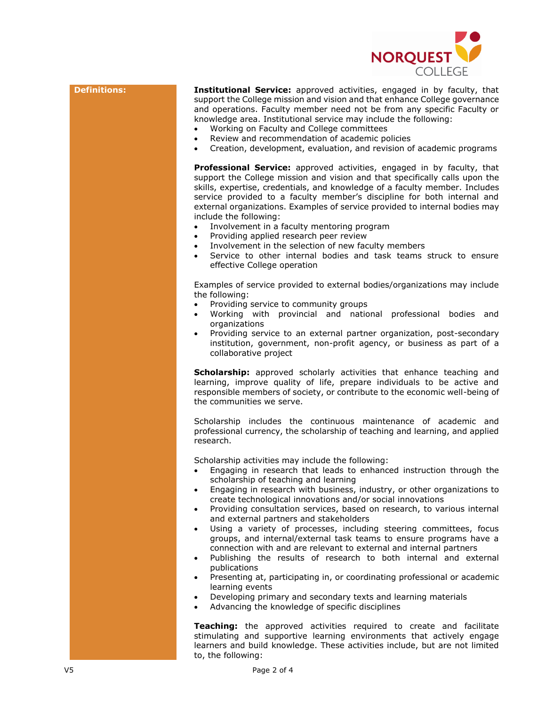

**Definitions: Institutional Service:** approved activities, engaged in by faculty, that support the College mission and vision and that enhance College governance and operations. Faculty member need not be from any specific Faculty or knowledge area. Institutional service may include the following:

- Working on Faculty and College committees
- Review and recommendation of academic policies
- Creation, development, evaluation, and revision of academic programs

**Professional Service:** approved activities, engaged in by faculty, that support the College mission and vision and that specifically calls upon the skills, expertise, credentials, and knowledge of a faculty member. Includes service provided to a faculty member's discipline for both internal and external organizations. Examples of service provided to internal bodies may include the following:

- Involvement in a faculty mentoring program
- Providing applied research peer review
- Involvement in the selection of new faculty members
- Service to other internal bodies and task teams struck to ensure effective College operation

Examples of service provided to external bodies/organizations may include the following:

- Providing service to community groups
- Working with provincial and national professional bodies and organizations
- Providing service to an external partner organization, post-secondary institution, government, non-profit agency, or business as part of a collaborative project

**Scholarship:** approved scholarly activities that enhance teaching and learning, improve quality of life, prepare individuals to be active and responsible members of society, or contribute to the economic well-being of the communities we serve.

Scholarship includes the continuous maintenance of academic and professional currency, the scholarship of teaching and learning, and applied research.

Scholarship activities may include the following:

- Engaging in research that leads to enhanced instruction through the scholarship of teaching and learning
- Engaging in research with business, industry, or other organizations to create technological innovations and/or social innovations
- Providing consultation services, based on research, to various internal and external partners and stakeholders
- Using a variety of processes, including steering committees, focus groups, and internal/external task teams to ensure programs have a connection with and are relevant to external and internal partners
- Publishing the results of research to both internal and external publications
- Presenting at, participating in, or coordinating professional or academic learning events
- Developing primary and secondary texts and learning materials
- Advancing the knowledge of specific disciplines

**Teaching:** the approved activities required to create and facilitate stimulating and supportive learning environments that actively engage learners and build knowledge. These activities include, but are not limited to, the following: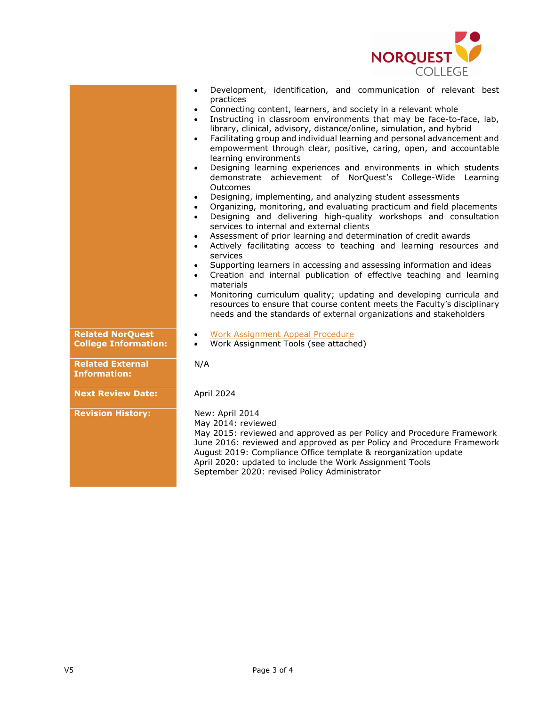

|           |  | Development, identification, and communication of relevant best |  |  |
|-----------|--|-----------------------------------------------------------------|--|--|
| practices |  |                                                                 |  |  |

- Connecting content, learners, and society in a relevant whole
- Instructing in classroom environments that may be face-to-face, lab, library, clinical, advisory, distance/online, simulation, and hybrid
- Facilitating group and individual learning and personal advancement and empowerment through clear, positive, caring, open, and accountable learning environments
- Designing learning experiences and environments in which students demonstrate achievement of NorQuest's College-Wide Learning **Outcomes**
- Designing, implementing, and analyzing student assessments
- Organizing, monitoring, and evaluating practicum and field placements
- Designing and delivering high-quality workshops and consultation services to internal and external clients
- Assessment of prior learning and determination of credit awards
- Actively facilitating access to teaching and learning resources and services
- Supporting learners in accessing and assessing information and ideas
- Creation and internal publication of effective teaching and learning materials
- Monitoring curriculum quality; updating and developing curricula and resources to ensure that course content meets the Faculty's disciplinary needs and the standards of external organizations and stakeholders
- [Work Assignment Appeal Procedure](https://www.norquest.ca/about-us/policies-procedures/human-resources/faculty-work-assignment-policy/work-assignment-appeal-procedure.aspx)

N/A

• Work Assignment Tools (see attached)

**Related External Information:**

**Related NorQuest College Information:**

**Next Review Date:** April 2024

**Revision History:** New: April 2014

May 2014: reviewed May 2015: reviewed and approved as per Policy and Procedure Framework June 2016: reviewed and approved as per Policy and Procedure Framework August 2019: Compliance Office template & reorganization update April 2020: updated to include the Work Assignment Tools September 2020: revised Policy Administrator